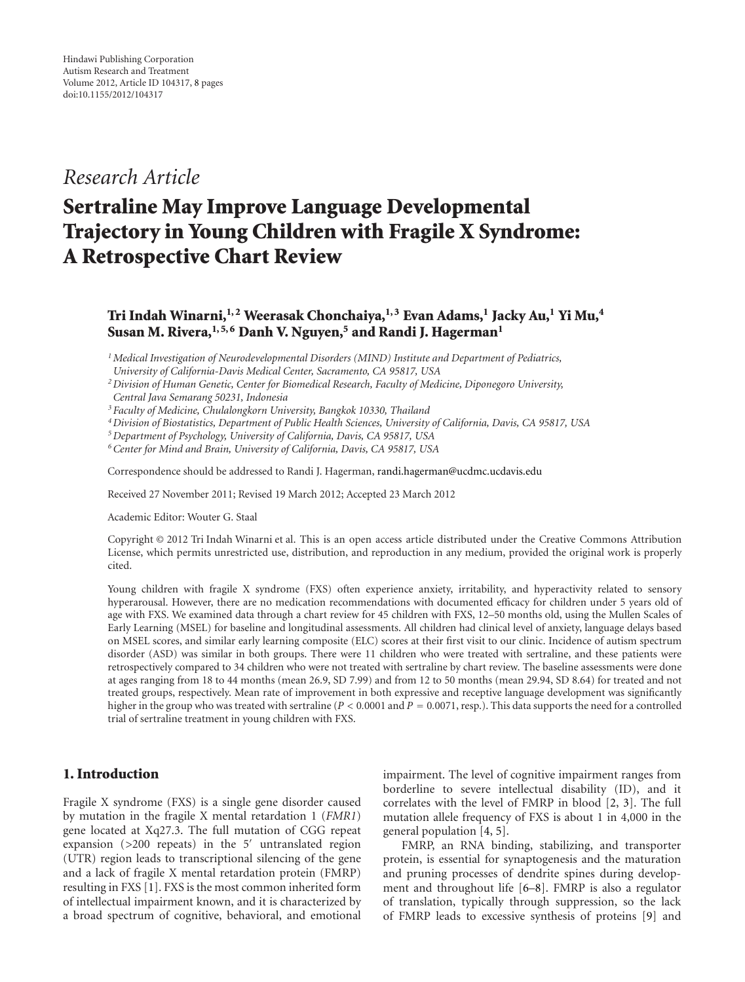## *Research Article*

# **Sertraline May Improve Language Developmental Trajectory in Young Children with Fragile X Syndrome: A Retrospective Chart Review**

## **Tri Indah Winarni,1, 2 Weerasak Chonchaiya,1, 3 Evan Adams,1 Jacky Au,1 Yi Mu,4** Susan M. Rivera,<sup>1,5,6</sup> Danh V. Nguyen,<sup>5</sup> and Randi J. Hagerman<sup>1</sup>

*1Medical Investigation of Neurodevelopmental Disorders (MIND) Institute and Department of Pediatrics,*

*University of California-Davis Medical Center, Sacramento, CA 95817, USA*

*<sup>3</sup> Faculty of Medicine, Chulalongkorn University, Bangkok 10330, Thailand*

*4Division of Biostatistics, Department of Public Health Sciences, University of California, Davis, CA 95817, USA*

*5Department of Psychology, University of California, Davis, CA 95817, USA*

*6Center for Mind and Brain, University of California, Davis, CA 95817, USA*

Correspondence should be addressed to Randi J. Hagerman, randi.hagerman@ucdmc.ucdavis.edu

Received 27 November 2011; Revised 19 March 2012; Accepted 23 March 2012

Academic Editor: Wouter G. Staal

Copyright © 2012 Tri Indah Winarni et al. This is an open access article distributed under the Creative Commons Attribution License, which permits unrestricted use, distribution, and reproduction in any medium, provided the original work is properly cited.

Young children with fragile X syndrome (FXS) often experience anxiety, irritability, and hyperactivity related to sensory hyperarousal. However, there are no medication recommendations with documented efficacy for children under 5 years old of age with FXS. We examined data through a chart review for 45 children with FXS, 12–50 months old, using the Mullen Scales of Early Learning (MSEL) for baseline and longitudinal assessments. All children had clinical level of anxiety, language delays based on MSEL scores, and similar early learning composite (ELC) scores at their first visit to our clinic. Incidence of autism spectrum disorder (ASD) was similar in both groups. There were 11 children who were treated with sertraline, and these patients were retrospectively compared to 34 children who were not treated with sertraline by chart review. The baseline assessments were done at ages ranging from 18 to 44 months (mean 26.9, SD 7.99) and from 12 to 50 months (mean 29.94, SD 8.64) for treated and not treated groups, respectively. Mean rate of improvement in both expressive and receptive language development was significantly higher in the group who was treated with sertraline (*P <* <sup>0</sup>*.*0001 and *<sup>P</sup>* <sup>=</sup> <sup>0</sup>*.*0071, resp.). This data supports the need for a controlled trial of sertraline treatment in young children with FXS.

### **1. Introduction**

Fragile X syndrome (FXS) is a single gene disorder caused by mutation in the fragile X mental retardation 1 (*FMR1*) gene located at Xq27.3. The full mutation of CGG repeat expansion (>200 repeats) in the 5' untranslated region (UTR) region leads to transcriptional silencing of the gene and a lack of fragile X mental retardation protein (FMRP) resulting in FXS [1]. FXS is the most common inherited form of intellectual impairment known, and it is characterized by a broad spectrum of cognitive, behavioral, and emotional

impairment. The level of cognitive impairment ranges from borderline to severe intellectual disability (ID), and it correlates with the level of FMRP in blood [2, 3]. The full mutation allele frequency of FXS is about 1 in 4,000 in the general population [4, 5].

FMRP, an RNA binding, stabilizing, and transporter protein, is essential for synaptogenesis and the maturation and pruning processes of dendrite spines during development and throughout life [6–8]. FMRP is also a regulator of translation, typically through suppression, so the lack of FMRP leads to excessive synthesis of proteins [9] and

*<sup>2</sup>Division of Human Genetic, Center for Biomedical Research, Faculty of Medicine, Diponegoro University, Central Java Semarang 50231, Indonesia*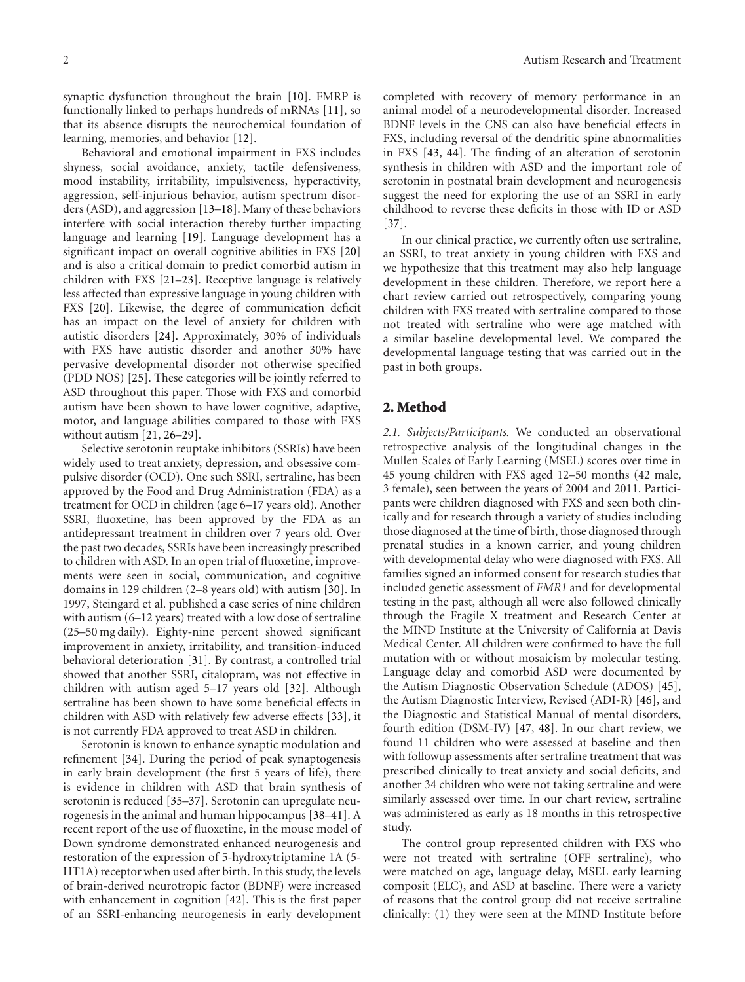synaptic dysfunction throughout the brain [10]. FMRP is functionally linked to perhaps hundreds of mRNAs [11], so that its absence disrupts the neurochemical foundation of learning, memories, and behavior [12].

Behavioral and emotional impairment in FXS includes shyness, social avoidance, anxiety, tactile defensiveness, mood instability, irritability, impulsiveness, hyperactivity, aggression, self-injurious behavior, autism spectrum disorders (ASD), and aggression [13–18]. Many of these behaviors interfere with social interaction thereby further impacting language and learning [19]. Language development has a significant impact on overall cognitive abilities in FXS [20] and is also a critical domain to predict comorbid autism in children with FXS [21–23]. Receptive language is relatively less affected than expressive language in young children with FXS [20]. Likewise, the degree of communication deficit has an impact on the level of anxiety for children with autistic disorders [24]. Approximately, 30% of individuals with FXS have autistic disorder and another 30% have pervasive developmental disorder not otherwise specified (PDD NOS) [25]. These categories will be jointly referred to ASD throughout this paper. Those with FXS and comorbid autism have been shown to have lower cognitive, adaptive, motor, and language abilities compared to those with FXS without autism [21, 26–29].

Selective serotonin reuptake inhibitors (SSRIs) have been widely used to treat anxiety, depression, and obsessive compulsive disorder (OCD). One such SSRI, sertraline, has been approved by the Food and Drug Administration (FDA) as a treatment for OCD in children (age 6–17 years old). Another SSRI, fluoxetine, has been approved by the FDA as an antidepressant treatment in children over 7 years old. Over the past two decades, SSRIs have been increasingly prescribed to children with ASD. In an open trial of fluoxetine, improvements were seen in social, communication, and cognitive domains in 129 children (2–8 years old) with autism [30]. In 1997, Steingard et al. published a case series of nine children with autism (6–12 years) treated with a low dose of sertraline (25–50 mg daily). Eighty-nine percent showed significant improvement in anxiety, irritability, and transition-induced behavioral deterioration [31]. By contrast, a controlled trial showed that another SSRI, citalopram, was not effective in children with autism aged 5–17 years old [32]. Although sertraline has been shown to have some beneficial effects in children with ASD with relatively few adverse effects [33], it is not currently FDA approved to treat ASD in children.

Serotonin is known to enhance synaptic modulation and refinement [34]. During the period of peak synaptogenesis in early brain development (the first 5 years of life), there is evidence in children with ASD that brain synthesis of serotonin is reduced [35–37]. Serotonin can upregulate neurogenesis in the animal and human hippocampus [38–41]. A recent report of the use of fluoxetine, in the mouse model of Down syndrome demonstrated enhanced neurogenesis and restoration of the expression of 5-hydroxytriptamine 1A (5- HT1A) receptor when used after birth. In this study, the levels of brain-derived neurotropic factor (BDNF) were increased with enhancement in cognition [42]. This is the first paper of an SSRI-enhancing neurogenesis in early development

completed with recovery of memory performance in an animal model of a neurodevelopmental disorder. Increased BDNF levels in the CNS can also have beneficial effects in FXS, including reversal of the dendritic spine abnormalities in FXS [43, 44]. The finding of an alteration of serotonin synthesis in children with ASD and the important role of serotonin in postnatal brain development and neurogenesis suggest the need for exploring the use of an SSRI in early childhood to reverse these deficits in those with ID or ASD [37].

In our clinical practice, we currently often use sertraline, an SSRI, to treat anxiety in young children with FXS and we hypothesize that this treatment may also help language development in these children. Therefore, we report here a chart review carried out retrospectively, comparing young children with FXS treated with sertraline compared to those not treated with sertraline who were age matched with a similar baseline developmental level. We compared the developmental language testing that was carried out in the past in both groups.

#### **2. Method**

*2.1. Subjects/Participants.* We conducted an observational retrospective analysis of the longitudinal changes in the Mullen Scales of Early Learning (MSEL) scores over time in 45 young children with FXS aged 12–50 months (42 male, 3 female), seen between the years of 2004 and 2011. Participants were children diagnosed with FXS and seen both clinically and for research through a variety of studies including those diagnosed at the time of birth, those diagnosed through prenatal studies in a known carrier, and young children with developmental delay who were diagnosed with FXS. All families signed an informed consent for research studies that included genetic assessment of *FMR1* and for developmental testing in the past, although all were also followed clinically through the Fragile X treatment and Research Center at the MIND Institute at the University of California at Davis Medical Center. All children were confirmed to have the full mutation with or without mosaicism by molecular testing. Language delay and comorbid ASD were documented by the Autism Diagnostic Observation Schedule (ADOS) [45], the Autism Diagnostic Interview, Revised (ADI-R) [46], and the Diagnostic and Statistical Manual of mental disorders, fourth edition (DSM-IV) [47, 48]. In our chart review, we found 11 children who were assessed at baseline and then with followup assessments after sertraline treatment that was prescribed clinically to treat anxiety and social deficits, and another 34 children who were not taking sertraline and were similarly assessed over time. In our chart review, sertraline was administered as early as 18 months in this retrospective study.

The control group represented children with FXS who were not treated with sertraline (OFF sertraline), who were matched on age, language delay, MSEL early learning composit (ELC), and ASD at baseline. There were a variety of reasons that the control group did not receive sertraline clinically: (1) they were seen at the MIND Institute before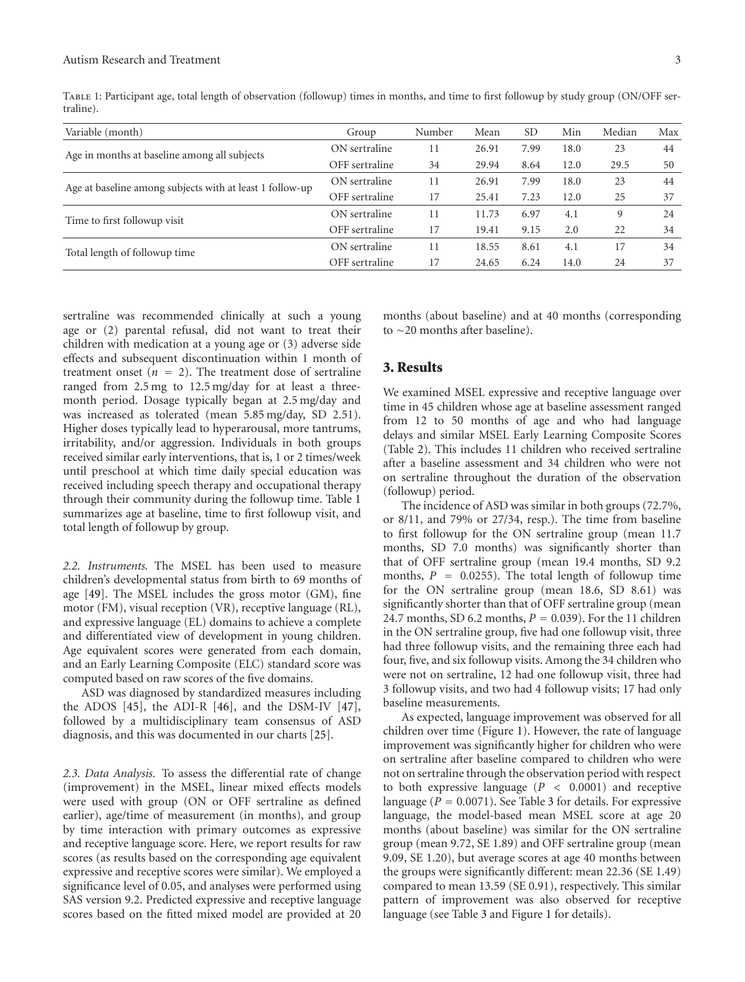|           |  |  | TABLE 1: Participant age, total length of observation (followup) times in months, and time to first followup by study group (ON/OFF ser- |
|-----------|--|--|------------------------------------------------------------------------------------------------------------------------------------------|
| traline). |  |  |                                                                                                                                          |

| Variable (month)                                         | Group          | Number | Mean  | <b>SD</b> | Min  | Median | Max |
|----------------------------------------------------------|----------------|--------|-------|-----------|------|--------|-----|
| Age in months at baseline among all subjects             | ON sertraline  |        | 26.91 | 7.99      | 18.0 | 23     | 44  |
|                                                          | OFF sertraline | 34     | 29.94 | 8.64      | 12.0 | 29.5   | 50  |
| Age at baseline among subjects with at least 1 follow-up | ON sertraline  |        | 26.91 | 7.99      | 18.0 | 23     | 44  |
|                                                          | OFF sertraline | 17     | 25.41 | 7.23      | 12.0 | 25     | 37  |
| Time to first followup visit                             | ON sertraline  |        | 11.73 | 6.97      | 4.1  | 9      | 24  |
|                                                          | OFF sertraline |        | 19.41 | 9.15      | 2.0  | 22     | 34  |
| Total length of followup time                            | ON sertraline  |        | 18.55 | 8.61      | 4.1  | 17     | 34  |
|                                                          | OFF sertraline | 17     | 24.65 | 6.24      | 14.0 | 24     | 37  |

sertraline was recommended clinically at such a young age or (2) parental refusal, did not want to treat their children with medication at a young age or (3) adverse side effects and subsequent discontinuation within 1 month of treatment onset  $(n = 2)$ . The treatment dose of sertraline ranged from 2.5 mg to 12.5 mg/day for at least a threemonth period. Dosage typically began at 2.5 mg/day and was increased as tolerated (mean 5.85 mg/day, SD 2.51). Higher doses typically lead to hyperarousal, more tantrums, irritability, and/or aggression. Individuals in both groups received similar early interventions, that is, 1 or 2 times/week until preschool at which time daily special education was received including speech therapy and occupational therapy through their community during the followup time. Table 1 summarizes age at baseline, time to first followup visit, and total length of followup by group.

*2.2. Instruments.* The MSEL has been used to measure children's developmental status from birth to 69 months of age [49]. The MSEL includes the gross motor (GM), fine motor (FM), visual reception (VR), receptive language (RL), and expressive language (EL) domains to achieve a complete and differentiated view of development in young children. Age equivalent scores were generated from each domain, and an Early Learning Composite (ELC) standard score was computed based on raw scores of the five domains.

ASD was diagnosed by standardized measures including the ADOS [45], the ADI-R [46], and the DSM-IV [47], followed by a multidisciplinary team consensus of ASD diagnosis, and this was documented in our charts [25].

*2.3. Data Analysis.* To assess the differential rate of change (improvement) in the MSEL, linear mixed effects models were used with group (ON or OFF sertraline as defined earlier), age/time of measurement (in months), and group by time interaction with primary outcomes as expressive and receptive language score. Here, we report results for raw scores (as results based on the corresponding age equivalent expressive and receptive scores were similar). We employed a significance level of 0.05, and analyses were performed using SAS version 9.2. Predicted expressive and receptive language scores based on the fitted mixed model are provided at 20

months (about baseline) and at 40 months (corresponding to ∼20 months after baseline).

## **3. Results**

We examined MSEL expressive and receptive language over time in 45 children whose age at baseline assessment ranged from 12 to 50 months of age and who had language delays and similar MSEL Early Learning Composite Scores (Table 2). This includes 11 children who received sertraline after a baseline assessment and 34 children who were not on sertraline throughout the duration of the observation (followup) period.

The incidence of ASD was similar in both groups (72.7%, or 8/11, and 79% or 27/34, resp.). The time from baseline to first followup for the ON sertraline group (mean 11.7 months, SD 7.0 months) was significantly shorter than that of OFF sertraline group (mean 19.4 months, SD 9.2 months,  $P = 0.0255$ . The total length of followup time for the ON sertraline group (mean 18.6, SD 8.61) was significantly shorter than that of OFF sertraline group (mean 24.7 months, SD 6.2 months, *<sup>P</sup>* <sup>=</sup> <sup>0</sup>*.*039). For the 11 children in the ON sertraline group, five had one followup visit, three had three followup visits, and the remaining three each had four, five, and six followup visits. Among the 34 children who were not on sertraline, 12 had one followup visit, three had 3 followup visits, and two had 4 followup visits; 17 had only baseline measurements.

As expected, language improvement was observed for all children over time (Figure 1). However, the rate of language improvement was significantly higher for children who were on sertraline after baseline compared to children who were not on sertraline through the observation period with respect to both expressive language (*P <* 0*.*0001) and receptive language  $(P = 0.0071)$ . See Table 3 for details. For expressive language, the model-based mean MSEL score at age 20 months (about baseline) was similar for the ON sertraline group (mean 9.72, SE 1.89) and OFF sertraline group (mean 9.09, SE 1.20), but average scores at age 40 months between the groups were significantly different: mean 22.36 (SE 1.49) compared to mean 13.59 (SE 0.91), respectively. This similar pattern of improvement was also observed for receptive language (see Table 3 and Figure 1 for details).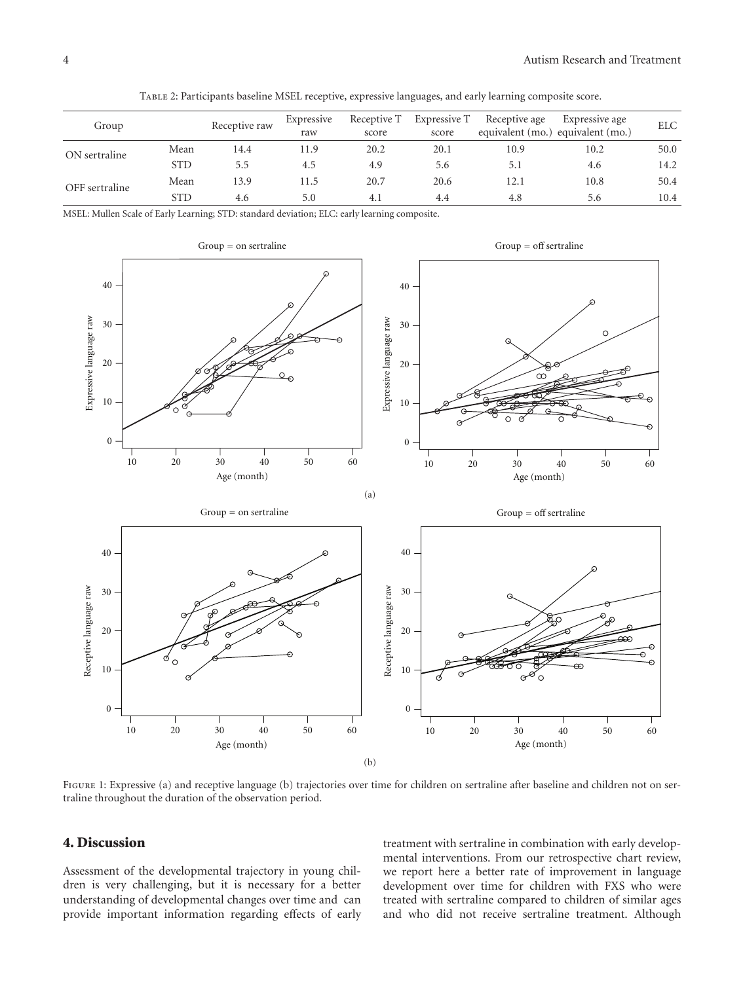| Group          |            | Receptive raw | Expressive<br>raw | Receptive T<br>score | Expressive T<br>score | Receptive age<br>equivalent (mo.) equivalent (mo.) | Expressive age | <b>ELC</b> |
|----------------|------------|---------------|-------------------|----------------------|-----------------------|----------------------------------------------------|----------------|------------|
| ON sertraline  | Mean       | 14.4          | 11.9              | 20.2                 | 20.1                  | 10.9                                               | 10.2           | 50.0       |
|                | <b>STD</b> | 5.5           | 4.5               | 4.9                  | 5.6                   | 5.1                                                | 4.6            | 14.2       |
| OFF sertraline | Mean       | 13.9          | 11.5              | 20.7                 | 20.6                  | 12.1                                               | 10.8           | 50.4       |
|                | <b>STD</b> | 4.6           | 5.0               | 4.1                  | 4.4                   | 4.8                                                | 5.6            | 10.4       |

Table 2: Participants baseline MSEL receptive, expressive languages, and early learning composite score.

MSEL: Mullen Scale of Early Learning; STD: standard deviation; ELC: early learning composite.



FIGURE 1: Expressive (a) and receptive language (b) trajectories over time for children on sertraline after baseline and children not on sertraline throughout the duration of the observation period.

## **4. Discussion**

Assessment of the developmental trajectory in young children is very challenging, but it is necessary for a better understanding of developmental changes over time and can provide important information regarding effects of early treatment with sertraline in combination with early developmental interventions. From our retrospective chart review, we report here a better rate of improvement in language development over time for children with FXS who were treated with sertraline compared to children of similar ages and who did not receive sertraline treatment. Although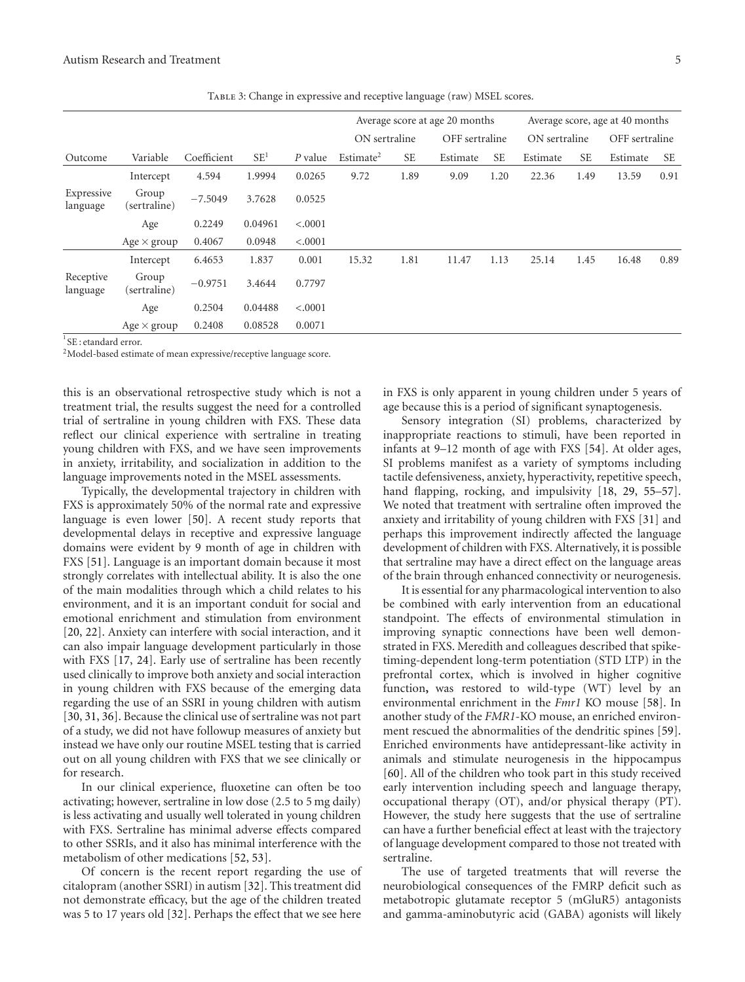|                        |                       |             |                 |           | Average score at age 20 months |           |                |           | Average score, age at 40 months |           |                |           |
|------------------------|-----------------------|-------------|-----------------|-----------|--------------------------------|-----------|----------------|-----------|---------------------------------|-----------|----------------|-----------|
|                        |                       |             |                 |           | ON sertraline                  |           | OFF sertraline |           | ON sertraline                   |           | OFF sertraline |           |
| Outcome                | Variable              | Coefficient | SE <sup>1</sup> | $P$ value | Estimate <sup>2</sup>          | <b>SE</b> | Estimate       | <b>SE</b> | Estimate                        | <b>SE</b> | Estimate       | <b>SE</b> |
|                        | Intercept             | 4.594       | 1.9994          | 0.0265    | 9.72                           | 1.89      | 9.09           | 1.20      | 22.36                           | 1.49      | 13.59          | 0.91      |
| Expressive<br>language | Group<br>(sertraline) | $-7.5049$   | 3.7628          | 0.0525    |                                |           |                |           |                                 |           |                |           |
|                        | Age                   | 0.2249      | 0.04961         | < .0001   |                                |           |                |           |                                 |           |                |           |
|                        | Age $\times$ group    | 0.4067      | 0.0948          | < .0001   |                                |           |                |           |                                 |           |                |           |
|                        | Intercept             | 6.4653      | 1.837           | 0.001     | 15.32                          | 1.81      | 11.47          | 1.13      | 25.14                           | 1.45      | 16.48          | 0.89      |
| Receptive<br>language  | Group<br>(sertraline) | $-0.9751$   | 3.4644          | 0.7797    |                                |           |                |           |                                 |           |                |           |
|                        | Age                   | 0.2504      | 0.04488         | < .0001   |                                |           |                |           |                                 |           |                |           |
|                        | Age $\times$ group    | 0.2408      | 0.08528         | 0.0071    |                                |           |                |           |                                 |           |                |           |

Table 3: Change in expressive and receptive language (raw) MSEL scores.

1 SE : etandard error.

2Model-based estimate of mean expressive/receptive language score.

this is an observational retrospective study which is not a treatment trial, the results suggest the need for a controlled trial of sertraline in young children with FXS. These data reflect our clinical experience with sertraline in treating young children with FXS, and we have seen improvements in anxiety, irritability, and socialization in addition to the language improvements noted in the MSEL assessments.

Typically, the developmental trajectory in children with FXS is approximately 50% of the normal rate and expressive language is even lower [50]. A recent study reports that developmental delays in receptive and expressive language domains were evident by 9 month of age in children with FXS [51]. Language is an important domain because it most strongly correlates with intellectual ability. It is also the one of the main modalities through which a child relates to his environment, and it is an important conduit for social and emotional enrichment and stimulation from environment [20, 22]. Anxiety can interfere with social interaction, and it can also impair language development particularly in those with FXS [17, 24]. Early use of sertraline has been recently used clinically to improve both anxiety and social interaction in young children with FXS because of the emerging data regarding the use of an SSRI in young children with autism [30, 31, 36]. Because the clinical use of sertraline was not part of a study, we did not have followup measures of anxiety but instead we have only our routine MSEL testing that is carried out on all young children with FXS that we see clinically or for research.

In our clinical experience, fluoxetine can often be too activating; however, sertraline in low dose (2.5 to 5 mg daily) is less activating and usually well tolerated in young children with FXS. Sertraline has minimal adverse effects compared to other SSRIs, and it also has minimal interference with the metabolism of other medications [52, 53].

Of concern is the recent report regarding the use of citalopram (another SSRI) in autism [32]. This treatment did not demonstrate efficacy, but the age of the children treated was 5 to 17 years old [32]. Perhaps the effect that we see here

in FXS is only apparent in young children under 5 years of age because this is a period of significant synaptogenesis.

Sensory integration (SI) problems, characterized by inappropriate reactions to stimuli, have been reported in infants at 9–12 month of age with FXS [54]. At older ages, SI problems manifest as a variety of symptoms including tactile defensiveness, anxiety, hyperactivity, repetitive speech, hand flapping, rocking, and impulsivity [18, 29, 55–57]. We noted that treatment with sertraline often improved the anxiety and irritability of young children with FXS [31] and perhaps this improvement indirectly affected the language development of children with FXS. Alternatively, it is possible that sertraline may have a direct effect on the language areas of the brain through enhanced connectivity or neurogenesis.

It is essential for any pharmacological intervention to also be combined with early intervention from an educational standpoint. The effects of environmental stimulation in improving synaptic connections have been well demonstrated in FXS. Meredith and colleagues described that spiketiming-dependent long-term potentiation (STD LTP) in the prefrontal cortex, which is involved in higher cognitive function**,** was restored to wild-type (WT) level by an environmental enrichment in the *Fmr1* KO mouse [58]. In another study of the *FMR1*-KO mouse, an enriched environment rescued the abnormalities of the dendritic spines [59]. Enriched environments have antidepressant-like activity in animals and stimulate neurogenesis in the hippocampus [60]. All of the children who took part in this study received early intervention including speech and language therapy, occupational therapy (OT), and/or physical therapy (PT). However, the study here suggests that the use of sertraline can have a further beneficial effect at least with the trajectory of language development compared to those not treated with sertraline.

The use of targeted treatments that will reverse the neurobiological consequences of the FMRP deficit such as metabotropic glutamate receptor 5 (mGluR5) antagonists and gamma-aminobutyric acid (GABA) agonists will likely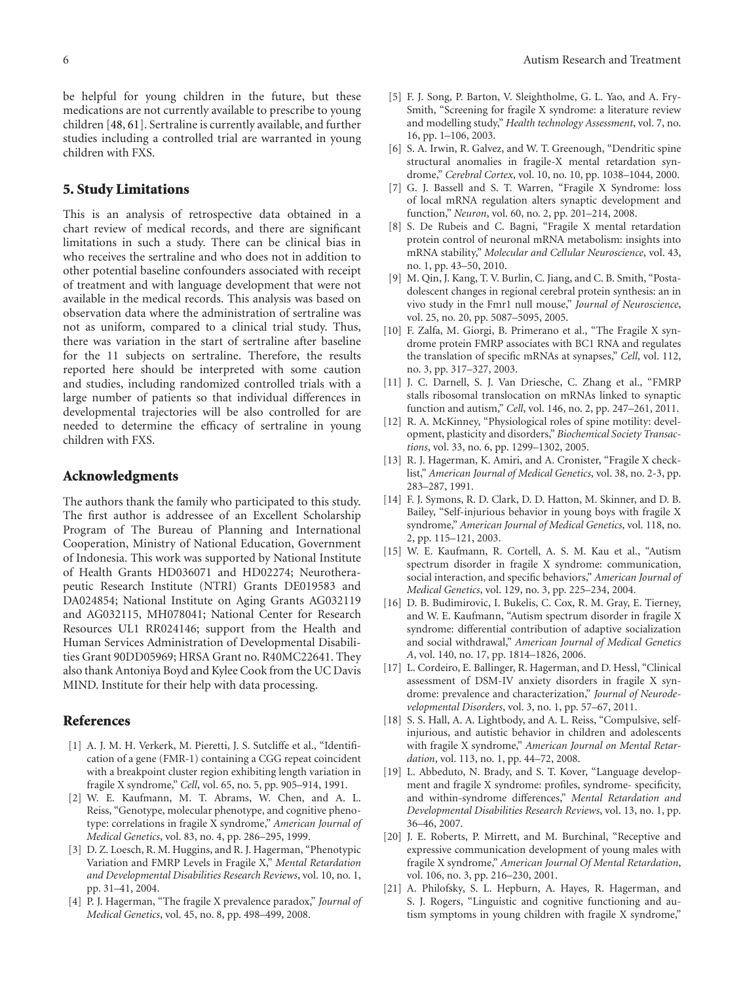be helpful for young children in the future, but these medications are not currently available to prescribe to young children [48, 61]. Sertraline is currently available, and further studies including a controlled trial are warranted in young children with FXS.

#### **5. Study Limitations**

This is an analysis of retrospective data obtained in a chart review of medical records, and there are significant limitations in such a study. There can be clinical bias in who receives the sertraline and who does not in addition to other potential baseline confounders associated with receipt of treatment and with language development that were not available in the medical records. This analysis was based on observation data where the administration of sertraline was not as uniform, compared to a clinical trial study. Thus, there was variation in the start of sertraline after baseline for the 11 subjects on sertraline. Therefore, the results reported here should be interpreted with some caution and studies, including randomized controlled trials with a large number of patients so that individual differences in developmental trajectories will be also controlled for are needed to determine the efficacy of sertraline in young children with FXS.

#### **Acknowledgments**

The authors thank the family who participated to this study. The first author is addressee of an Excellent Scholarship Program of The Bureau of Planning and International Cooperation, Ministry of National Education, Government of Indonesia. This work was supported by National Institute of Health Grants HD036071 and HD02274; Neurotherapeutic Research Institute (NTRI) Grants DE019583 and DA024854; National Institute on Aging Grants AG032119 and AG032115, MH078041; National Center for Research Resources UL1 RR024146; support from the Health and Human Services Administration of Developmental Disabilities Grant 90DD05969; HRSA Grant no. R40MC22641. They also thank Antoniya Boyd and Kylee Cook from the UC Davis MIND. Institute for their help with data processing.

#### **References**

- [1] A. J. M. H. Verkerk, M. Pieretti, J. S. Sutcliffe et al., "Identification of a gene (FMR-1) containing a CGG repeat coincident with a breakpoint cluster region exhibiting length variation in fragile X syndrome," *Cell*, vol. 65, no. 5, pp. 905–914, 1991.
- [2] W. E. Kaufmann, M. T. Abrams, W. Chen, and A. L. Reiss, "Genotype, molecular phenotype, and cognitive phenotype: correlations in fragile X syndrome," *American Journal of Medical Genetics*, vol. 83, no. 4, pp. 286–295, 1999.
- [3] D. Z. Loesch, R. M. Huggins, and R. J. Hagerman, "Phenotypic Variation and FMRP Levels in Fragile X," *Mental Retardation and Developmental Disabilities Research Reviews*, vol. 10, no. 1, pp. 31–41, 2004.
- [4] P. J. Hagerman, "The fragile X prevalence paradox," *Journal of Medical Genetics*, vol. 45, no. 8, pp. 498–499, 2008.
- [5] F. J. Song, P. Barton, V. Sleightholme, G. L. Yao, and A. Fry-Smith, "Screening for fragile X syndrome: a literature review and modelling study," *Health technology Assessment*, vol. 7, no. 16, pp. 1–106, 2003.
- [6] S. A. Irwin, R. Galvez, and W. T. Greenough, "Dendritic spine structural anomalies in fragile-X mental retardation syndrome," *Cerebral Cortex*, vol. 10, no. 10, pp. 1038–1044, 2000.
- [7] G. J. Bassell and S. T. Warren, "Fragile X Syndrome: loss of local mRNA regulation alters synaptic development and function," *Neuron*, vol. 60, no. 2, pp. 201–214, 2008.
- [8] S. De Rubeis and C. Bagni, "Fragile X mental retardation protein control of neuronal mRNA metabolism: insights into mRNA stability," *Molecular and Cellular Neuroscience*, vol. 43, no. 1, pp. 43–50, 2010.
- [9] M. Qin, J. Kang, T. V. Burlin, C. Jiang, and C. B. Smith, "Postadolescent changes in regional cerebral protein synthesis: an in vivo study in the Fmr1 null mouse," *Journal of Neuroscience*, vol. 25, no. 20, pp. 5087–5095, 2005.
- [10] F. Zalfa, M. Giorgi, B. Primerano et al., "The Fragile X syndrome protein FMRP associates with BC1 RNA and regulates the translation of specific mRNAs at synapses," *Cell*, vol. 112, no. 3, pp. 317–327, 2003.
- [11] J. C. Darnell, S. J. Van Driesche, C. Zhang et al., "FMRP stalls ribosomal translocation on mRNAs linked to synaptic function and autism," *Cell*, vol. 146, no. 2, pp. 247–261, 2011.
- [12] R. A. McKinney, "Physiological roles of spine motility: development, plasticity and disorders," *Biochemical Society Transactions*, vol. 33, no. 6, pp. 1299–1302, 2005.
- [13] R. J. Hagerman, K. Amiri, and A. Cronister, "Fragile X checklist," *American Journal of Medical Genetics*, vol. 38, no. 2-3, pp. 283–287, 1991.
- [14] F. J. Symons, R. D. Clark, D. D. Hatton, M. Skinner, and D. B. Bailey, "Self-injurious behavior in young boys with fragile X syndrome," *American Journal of Medical Genetics*, vol. 118, no. 2, pp. 115–121, 2003.
- [15] W. E. Kaufmann, R. Cortell, A. S. M. Kau et al., "Autism spectrum disorder in fragile X syndrome: communication, social interaction, and specific behaviors," *American Journal of Medical Genetics*, vol. 129, no. 3, pp. 225–234, 2004.
- [16] D. B. Budimirovic, I. Bukelis, C. Cox, R. M. Gray, E. Tierney, and W. E. Kaufmann, "Autism spectrum disorder in fragile X syndrome: differential contribution of adaptive socialization and social withdrawal," *American Journal of Medical Genetics A*, vol. 140, no. 17, pp. 1814–1826, 2006.
- [17] L. Cordeiro, E. Ballinger, R. Hagerman, and D. Hessl, "Clinical assessment of DSM-IV anxiety disorders in fragile X syndrome: prevalence and characterization," *Journal of Neurodevelopmental Disorders*, vol. 3, no. 1, pp. 57–67, 2011.
- [18] S. S. Hall, A. A. Lightbody, and A. L. Reiss, "Compulsive, selfinjurious, and autistic behavior in children and adolescents with fragile X syndrome," *American Journal on Mental Retardation*, vol. 113, no. 1, pp. 44–72, 2008.
- [19] L. Abbeduto, N. Brady, and S. T. Kover, "Language development and fragile X syndrome: profiles, syndrome- specificity, and within-syndrome differences," *Mental Retardation and Developmental Disabilities Research Reviews*, vol. 13, no. 1, pp. 36–46, 2007.
- [20] J. E. Roberts, P. Mirrett, and M. Burchinal, "Receptive and expressive communication development of young males with fragile X syndrome," *American Journal Of Mental Retardation*, vol. 106, no. 3, pp. 216–230, 2001.
- [21] A. Philofsky, S. L. Hepburn, A. Hayes, R. Hagerman, and S. J. Rogers, "Linguistic and cognitive functioning and autism symptoms in young children with fragile X syndrome,"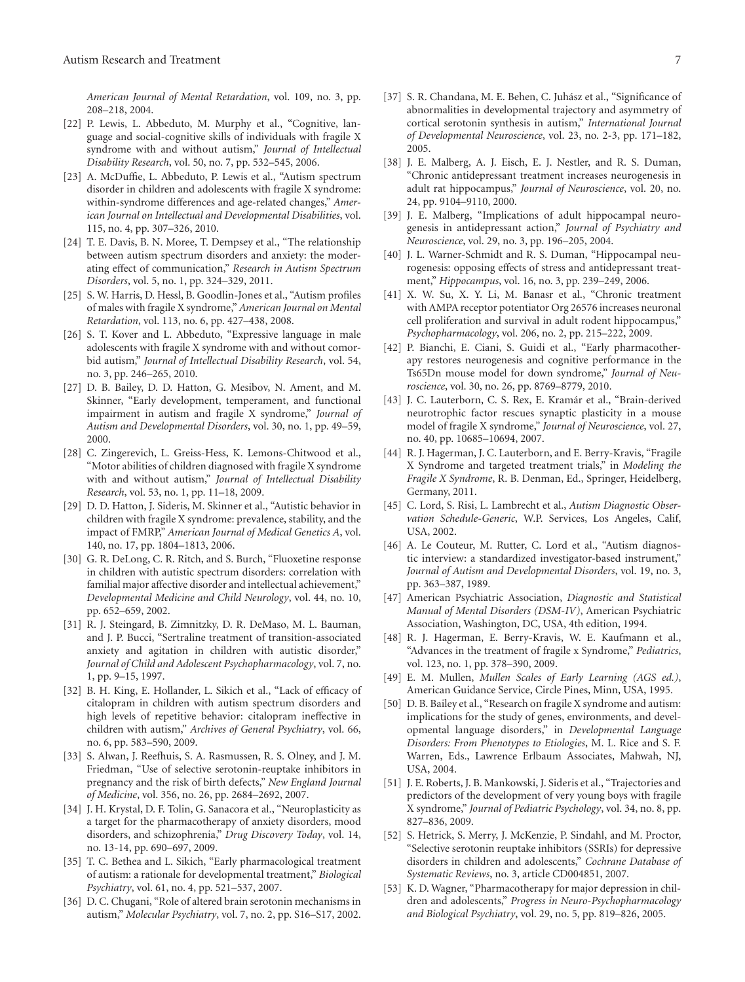*American Journal of Mental Retardation*, vol. 109, no. 3, pp. 208–218, 2004.

- [22] P. Lewis, L. Abbeduto, M. Murphy et al., "Cognitive, language and social-cognitive skills of individuals with fragile X syndrome with and without autism," *Journal of Intellectual Disability Research*, vol. 50, no. 7, pp. 532–545, 2006.
- [23] A. McDuffie, L. Abbeduto, P. Lewis et al., "Autism spectrum disorder in children and adolescents with fragile X syndrome: within-syndrome differences and age-related changes," *American Journal on Intellectual and Developmental Disabilities*, vol. 115, no. 4, pp. 307–326, 2010.
- [24] T. E. Davis, B. N. Moree, T. Dempsey et al., "The relationship between autism spectrum disorders and anxiety: the moderating effect of communication," *Research in Autism Spectrum Disorders*, vol. 5, no. 1, pp. 324–329, 2011.
- [25] S. W. Harris, D. Hessl, B. Goodlin-Jones et al., "Autism profiles of males with fragile X syndrome," *American Journal on Mental Retardation*, vol. 113, no. 6, pp. 427–438, 2008.
- [26] S. T. Kover and L. Abbeduto, "Expressive language in male adolescents with fragile X syndrome with and without comorbid autism," *Journal of Intellectual Disability Research*, vol. 54, no. 3, pp. 246–265, 2010.
- [27] D. B. Bailey, D. D. Hatton, G. Mesibov, N. Ament, and M. Skinner, "Early development, temperament, and functional impairment in autism and fragile X syndrome," *Journal of Autism and Developmental Disorders*, vol. 30, no. 1, pp. 49–59, 2000.
- [28] C. Zingerevich, L. Greiss-Hess, K. Lemons-Chitwood et al., "Motor abilities of children diagnosed with fragile X syndrome with and without autism," *Journal of Intellectual Disability Research*, vol. 53, no. 1, pp. 11–18, 2009.
- [29] D. D. Hatton, J. Sideris, M. Skinner et al., "Autistic behavior in children with fragile X syndrome: prevalence, stability, and the impact of FMRP," *American Journal of Medical Genetics A*, vol. 140, no. 17, pp. 1804–1813, 2006.
- [30] G. R. DeLong, C. R. Ritch, and S. Burch, "Fluoxetine response in children with autistic spectrum disorders: correlation with familial major affective disorder and intellectual achievement," *Developmental Medicine and Child Neurology*, vol. 44, no. 10, pp. 652–659, 2002.
- [31] R. J. Steingard, B. Zimnitzky, D. R. DeMaso, M. L. Bauman, and J. P. Bucci, "Sertraline treatment of transition-associated anxiety and agitation in children with autistic disorder," *Journal of Child and Adolescent Psychopharmacology*, vol. 7, no. 1, pp. 9–15, 1997.
- [32] B. H. King, E. Hollander, L. Sikich et al., "Lack of efficacy of citalopram in children with autism spectrum disorders and high levels of repetitive behavior: citalopram ineffective in children with autism," *Archives of General Psychiatry*, vol. 66, no. 6, pp. 583–590, 2009.
- [33] S. Alwan, J. Reefhuis, S. A. Rasmussen, R. S. Olney, and J. M. Friedman, "Use of selective serotonin-reuptake inhibitors in pregnancy and the risk of birth defects," *New England Journal of Medicine*, vol. 356, no. 26, pp. 2684–2692, 2007.
- [34] J. H. Krystal, D. F. Tolin, G. Sanacora et al., "Neuroplasticity as a target for the pharmacotherapy of anxiety disorders, mood disorders, and schizophrenia," *Drug Discovery Today*, vol. 14, no. 13-14, pp. 690–697, 2009.
- [35] T. C. Bethea and L. Sikich, "Early pharmacological treatment of autism: a rationale for developmental treatment," *Biological Psychiatry*, vol. 61, no. 4, pp. 521–537, 2007.
- [36] D. C. Chugani, "Role of altered brain serotonin mechanisms in autism," *Molecular Psychiatry*, vol. 7, no. 2, pp. S16–S17, 2002.
- 
- [37] S. R. Chandana, M. E. Behen, C. Juhász et al., "Significance of abnormalities in developmental trajectory and asymmetry of cortical serotonin synthesis in autism," *International Journal of Developmental Neuroscience*, vol. 23, no. 2-3, pp. 171–182, 2005.
- [38] J. E. Malberg, A. J. Eisch, E. J. Nestler, and R. S. Duman, "Chronic antidepressant treatment increases neurogenesis in adult rat hippocampus," *Journal of Neuroscience*, vol. 20, no. 24, pp. 9104–9110, 2000.
- [39] J. E. Malberg, "Implications of adult hippocampal neurogenesis in antidepressant action," *Journal of Psychiatry and Neuroscience*, vol. 29, no. 3, pp. 196–205, 2004.
- [40] J. L. Warner-Schmidt and R. S. Duman, "Hippocampal neurogenesis: opposing effects of stress and antidepressant treatment," *Hippocampus*, vol. 16, no. 3, pp. 239–249, 2006.
- [41] X. W. Su, X. Y. Li, M. Banasr et al., "Chronic treatment with AMPA receptor potentiator Org 26576 increases neuronal cell proliferation and survival in adult rodent hippocampus," *Psychopharmacology*, vol. 206, no. 2, pp. 215–222, 2009.
- [42] P. Bianchi, E. Ciani, S. Guidi et al., "Early pharmacotherapy restores neurogenesis and cognitive performance in the Ts65Dn mouse model for down syndrome," *Journal of Neuroscience*, vol. 30, no. 26, pp. 8769–8779, 2010.
- [43] J. C. Lauterborn, C. S. Rex, E. Kramár et al., "Brain-derived neurotrophic factor rescues synaptic plasticity in a mouse model of fragile X syndrome," *Journal of Neuroscience*, vol. 27, no. 40, pp. 10685–10694, 2007.
- [44] R. J. Hagerman, J. C. Lauterborn, and E. Berry-Kravis, "Fragile X Syndrome and targeted treatment trials," in *Modeling the Fragile X Syndrome*, R. B. Denman, Ed., Springer, Heidelberg, Germany, 2011.
- [45] C. Lord, S. Risi, L. Lambrecht et al., *Autism Diagnostic Observation Schedule-Generic*, W.P. Services, Los Angeles, Calif, USA, 2002.
- [46] A. Le Couteur, M. Rutter, C. Lord et al., "Autism diagnostic interview: a standardized investigator-based instrument," *Journal of Autism and Developmental Disorders*, vol. 19, no. 3, pp. 363–387, 1989.
- [47] American Psychiatric Association, *Diagnostic and Statistical Manual of Mental Disorders (DSM-IV)*, American Psychiatric Association, Washington, DC, USA, 4th edition, 1994.
- [48] R. J. Hagerman, E. Berry-Kravis, W. E. Kaufmann et al., "Advances in the treatment of fragile x Syndrome," *Pediatrics*, vol. 123, no. 1, pp. 378–390, 2009.
- [49] E. M. Mullen, *Mullen Scales of Early Learning (AGS ed.)*, American Guidance Service, Circle Pines, Minn, USA, 1995.
- [50] D. B. Bailey et al., "Research on fragile X syndrome and autism: implications for the study of genes, environments, and developmental language disorders," in *Developmental Language Disorders: From Phenotypes to Etiologies*, M. L. Rice and S. F. Warren, Eds., Lawrence Erlbaum Associates, Mahwah, NJ, USA, 2004.
- [51] J. E. Roberts, J. B. Mankowski, J. Sideris et al., "Trajectories and predictors of the development of very young boys with fragile X syndrome," *Journal of Pediatric Psychology*, vol. 34, no. 8, pp. 827–836, 2009.
- [52] S. Hetrick, S. Merry, J. McKenzie, P. Sindahl, and M. Proctor, "Selective serotonin reuptake inhibitors (SSRIs) for depressive disorders in children and adolescents," *Cochrane Database of Systematic Reviews*, no. 3, article CD004851, 2007.
- [53] K. D. Wagner, "Pharmacotherapy for major depression in children and adolescents," *Progress in Neuro-Psychopharmacology and Biological Psychiatry*, vol. 29, no. 5, pp. 819–826, 2005.